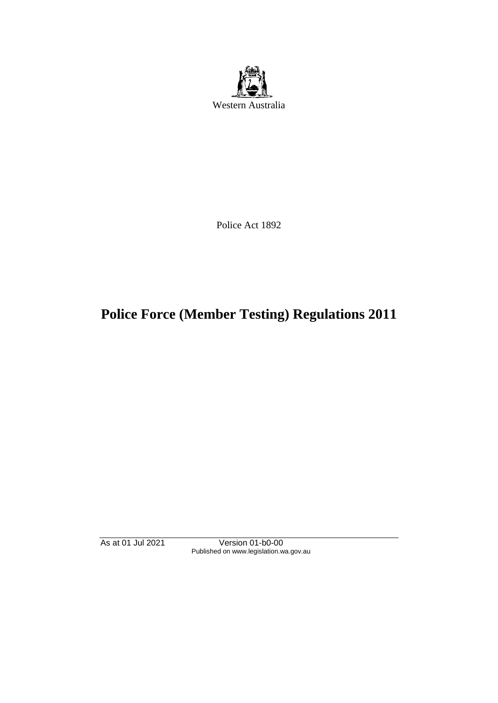

Police Act 1892

# **Police Force (Member Testing) Regulations 2011**

As at 01 Jul 2021 Version 01-b0-00 Published on www.legislation.wa.gov.au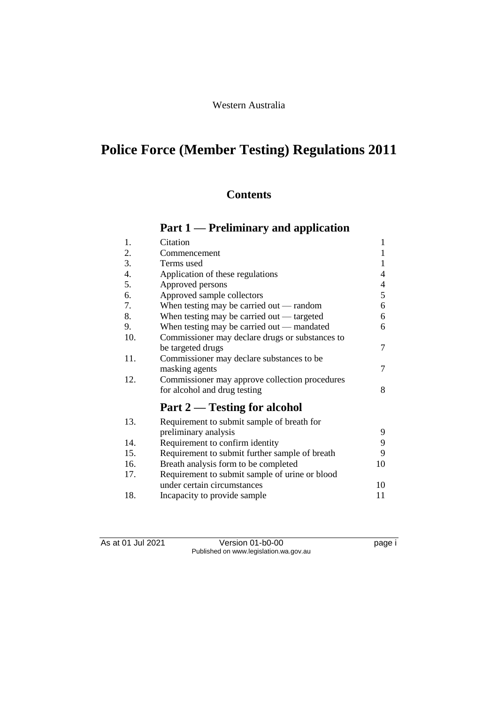## Western Australia

# **Police Force (Member Testing) Regulations 2011**

## **Contents**

## **Part 1 — Preliminary and application**

| 1.  | Citation                                        | $\mathbf{1}$ |
|-----|-------------------------------------------------|--------------|
| 2.  | Commencement                                    | 1            |
| 3.  | Terms used                                      | 1            |
| 4.  | Application of these regulations                | 4            |
| 5.  | Approved persons                                | 4            |
| 6.  | Approved sample collectors                      | 5            |
| 7.  | When testing may be carried out — random        | 6            |
| 8.  | When testing may be carried out — targeted      | 6            |
| 9.  | When testing may be carried out — mandated      | 6            |
| 10. | Commissioner may declare drugs or substances to |              |
|     | be targeted drugs                               | 7            |
| 11. | Commissioner may declare substances to be       |              |
|     | masking agents                                  | 7            |
| 12. | Commissioner may approve collection procedures  |              |
|     | for alcohol and drug testing                    | 8            |
|     | Part 2 — Testing for alcohol                    |              |
| 13. | Requirement to submit sample of breath for      |              |
|     | preliminary analysis                            | 9            |
| 14. | Requirement to confirm identity                 | 9            |
| 15. | Requirement to submit further sample of breath  | 9            |
| 16. | Breath analysis form to be completed            | 10           |
| 17. | Requirement to submit sample of urine or blood  |              |
|     | under certain circumstances                     | 10           |
| 18. | Incapacity to provide sample                    | 11           |

As at 01 Jul 2021 Version 01-b0-00 Page i Published on www.legislation.wa.gov.au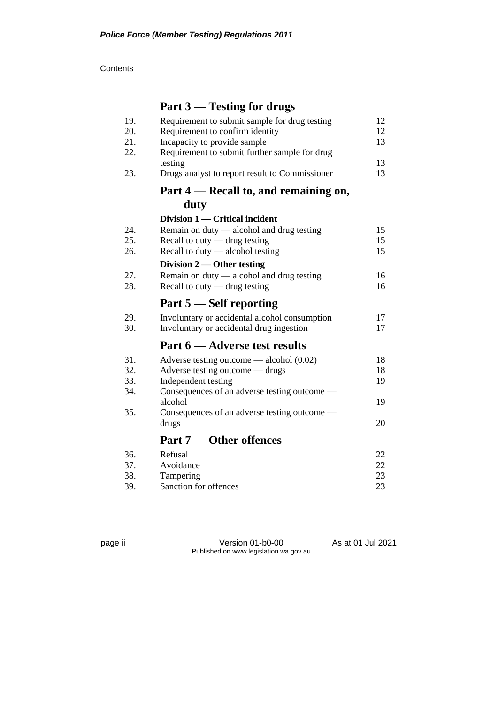**Contents** 

# **Part 3 — Testing for drugs**

| 19.<br>20. | Requirement to submit sample for drug testing<br>Requirement to confirm identity | 12<br>12 |
|------------|----------------------------------------------------------------------------------|----------|
| 21.        | Incapacity to provide sample                                                     | 13       |
| 22.        | Requirement to submit further sample for drug<br>testing                         | 13       |
| 23.        | Drugs analyst to report result to Commissioner                                   | 13       |
|            | Part 4 — Recall to, and remaining on,                                            |          |
|            | duty                                                                             |          |
|            | Division 1 — Critical incident                                                   |          |
| 24.        | Remain on duty — alcohol and drug testing                                        | 15       |
| 25.        | Recall to duty - drug testing                                                    | 15       |
| 26.        | Recall to duty $-$ alcohol testing                                               | 15       |
|            | Division $2$ — Other testing                                                     |          |
| 27.        | Remain on duty — alcohol and drug testing                                        | 16       |
| 28.        | Recall to duty $-$ drug testing                                                  | 16       |
|            |                                                                                  |          |
|            | Part 5 – Self reporting                                                          |          |
| 29.        | Involuntary or accidental alcohol consumption                                    | 17       |
| 30.        | Involuntary or accidental drug ingestion                                         | 17       |
|            | Part 6 — Adverse test results                                                    |          |
| 31.        | Adverse testing outcome — alcohol $(0.02)$                                       | 18       |
| 32.        | Adverse testing outcome — drugs                                                  | 18       |
| 33.        | Independent testing                                                              | 19       |
| 34.        | Consequences of an adverse testing outcome —                                     |          |
|            | alcohol                                                                          | 19       |
| 35.        | Consequences of an adverse testing outcome —                                     |          |
|            | drugs                                                                            | 20       |
|            | <b>Part 7 — Other offences</b>                                                   |          |
| 36.        | Refusal                                                                          | 22       |
| 37.        | Avoidance                                                                        | 22       |
| 38.        | Tampering                                                                        | 23       |
| 39.        | Sanction for offences                                                            | 23       |

page ii Version 01-b0-00 As at 01 Jul 2021 Published on www.legislation.wa.gov.au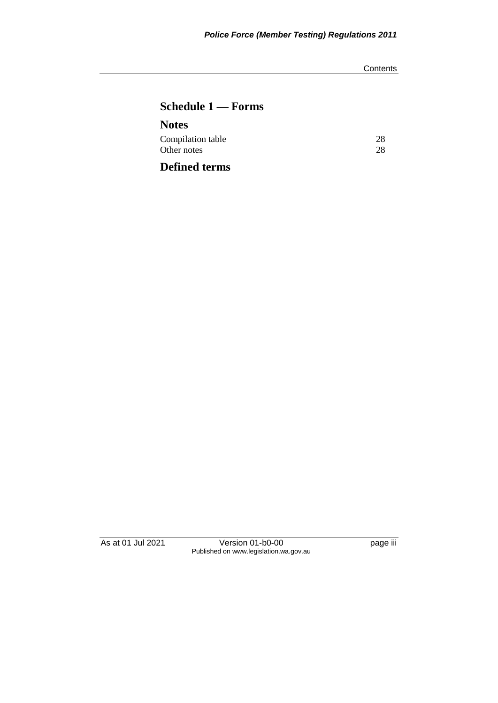**Contents** 

## **Schedule 1 — Forms**

| <b>Notes</b>         |    |
|----------------------|----|
| Compilation table    | 28 |
| Other notes          | 28 |
| <b>Defined terms</b> |    |

As at 01 Jul 2021 Version 01-b0-00 page iii Published on www.legislation.wa.gov.au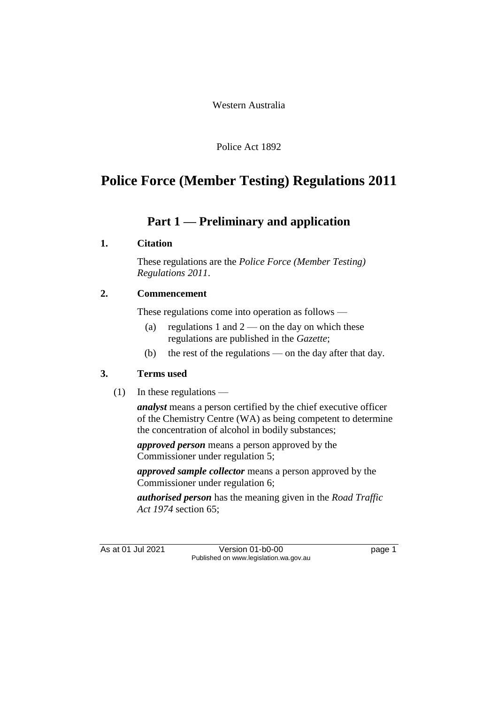Western Australia

Police Act 1892

# **Police Force (Member Testing) Regulations 2011**

## **Part 1 — Preliminary and application**

## **1. Citation**

These regulations are the *Police Force (Member Testing) Regulations 2011*.

## **2. Commencement**

These regulations come into operation as follows —

- (a) regulations 1 and  $2$  on the day on which these regulations are published in the *Gazette*;
- (b) the rest of the regulations on the day after that day.

## **3. Terms used**

(1) In these regulations —

*analyst* means a person certified by the chief executive officer of the Chemistry Centre (WA) as being competent to determine the concentration of alcohol in bodily substances;

*approved person* means a person approved by the Commissioner under regulation 5;

*approved sample collector* means a person approved by the Commissioner under regulation 6;

*authorised person* has the meaning given in the *Road Traffic Act 1974* section 65;

As at 01 Jul 2021 Version 01-b0-00 Page 1 Published on www.legislation.wa.gov.au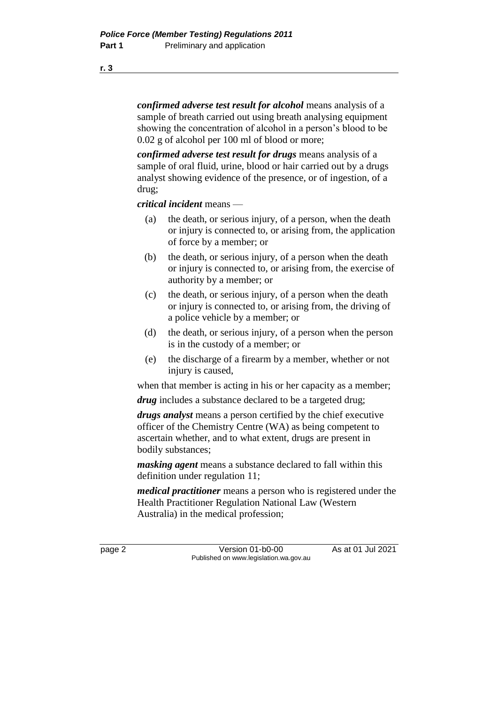*confirmed adverse test result for alcohol* means analysis of a sample of breath carried out using breath analysing equipment showing the concentration of alcohol in a person's blood to be 0.02 g of alcohol per 100 ml of blood or more;

*confirmed adverse test result for drugs* means analysis of a sample of oral fluid, urine, blood or hair carried out by a drugs analyst showing evidence of the presence, or of ingestion, of a drug;

*critical incident* means —

- (a) the death, or serious injury, of a person, when the death or injury is connected to, or arising from, the application of force by a member; or
- (b) the death, or serious injury, of a person when the death or injury is connected to, or arising from, the exercise of authority by a member; or
- (c) the death, or serious injury, of a person when the death or injury is connected to, or arising from, the driving of a police vehicle by a member; or
- (d) the death, or serious injury, of a person when the person is in the custody of a member; or
- (e) the discharge of a firearm by a member, whether or not injury is caused,

when that member is acting in his or her capacity as a member;

*drug* includes a substance declared to be a targeted drug;

*drugs analyst* means a person certified by the chief executive officer of the Chemistry Centre (WA) as being competent to ascertain whether, and to what extent, drugs are present in bodily substances;

*masking agent* means a substance declared to fall within this definition under regulation 11;

*medical practitioner* means a person who is registered under the Health Practitioner Regulation National Law (Western Australia) in the medical profession;

page 2 Version 01-b0-00 As at 01 Jul 2021 Published on www.legislation.wa.gov.au

**r. 3**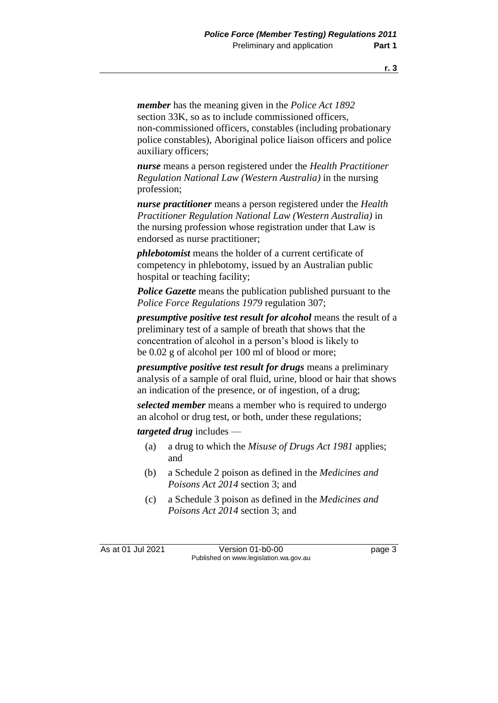*member* has the meaning given in the *Police Act 1892* section 33K, so as to include commissioned officers. non-commissioned officers, constables (including probationary police constables), Aboriginal police liaison officers and police auxiliary officers;

*nurse* means a person registered under the *Health Practitioner Regulation National Law (Western Australia)* in the nursing profession;

*nurse practitioner* means a person registered under the *Health Practitioner Regulation National Law (Western Australia)* in the nursing profession whose registration under that Law is endorsed as nurse practitioner;

*phlebotomist* means the holder of a current certificate of competency in phlebotomy, issued by an Australian public hospital or teaching facility;

*Police Gazette* means the publication published pursuant to the *Police Force Regulations 1979* regulation 307;

*presumptive positive test result for alcohol* means the result of a preliminary test of a sample of breath that shows that the concentration of alcohol in a person's blood is likely to be 0.02 g of alcohol per 100 ml of blood or more;

*presumptive positive test result for drugs* means a preliminary analysis of a sample of oral fluid, urine, blood or hair that shows an indication of the presence, or of ingestion, of a drug;

*selected member* means a member who is required to undergo an alcohol or drug test, or both, under these regulations;

*targeted drug* includes —

- (a) a drug to which the *Misuse of Drugs Act 1981* applies; and
- (b) a Schedule 2 poison as defined in the *Medicines and Poisons Act 2014* section 3; and
- (c) a Schedule 3 poison as defined in the *Medicines and Poisons Act 2014* section 3; and

As at 01 Jul 2021 Version 01-b0-00 Page 3 Published on www.legislation.wa.gov.au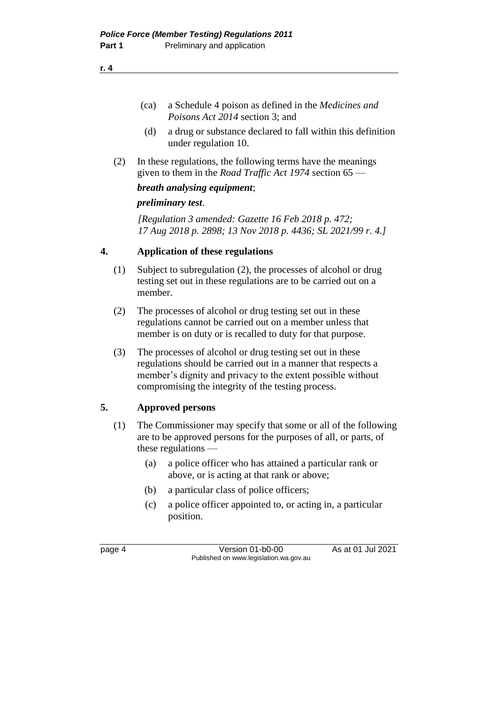(ca) a Schedule 4 poison as defined in the *Medicines and Poisons Act 2014* section 3; and

- (d) a drug or substance declared to fall within this definition under regulation 10.
- (2) In these regulations, the following terms have the meanings given to them in the *Road Traffic Act 1974* section 65 —

### *breath analysing equipment*;

## *preliminary test*.

*[Regulation 3 amended: Gazette 16 Feb 2018 p. 472; 17 Aug 2018 p. 2898; 13 Nov 2018 p. 4436; SL 2021/99 r. 4.]*

## **4. Application of these regulations**

- (1) Subject to subregulation (2), the processes of alcohol or drug testing set out in these regulations are to be carried out on a member.
- (2) The processes of alcohol or drug testing set out in these regulations cannot be carried out on a member unless that member is on duty or is recalled to duty for that purpose.
- (3) The processes of alcohol or drug testing set out in these regulations should be carried out in a manner that respects a member's dignity and privacy to the extent possible without compromising the integrity of the testing process.

## **5. Approved persons**

- (1) The Commissioner may specify that some or all of the following are to be approved persons for the purposes of all, or parts, of these regulations —
	- (a) a police officer who has attained a particular rank or above, or is acting at that rank or above;
	- (b) a particular class of police officers;
	- (c) a police officer appointed to, or acting in, a particular position.

page 4 Version 01-b0-00 As at 01 Jul 2021 Published on www.legislation.wa.gov.au

**r. 4**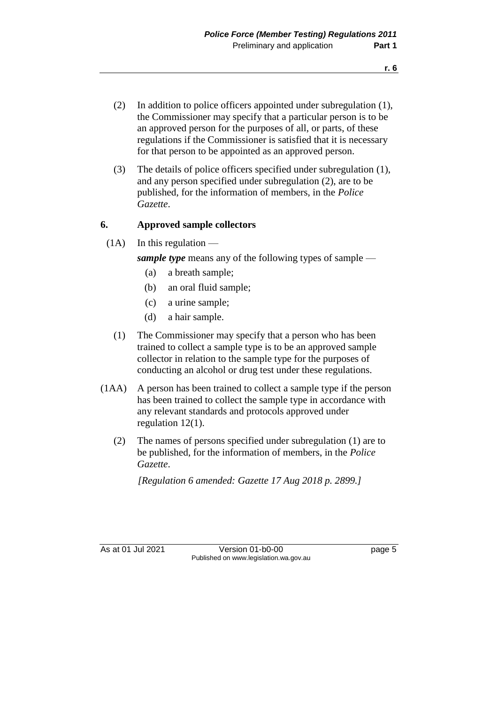- (2) In addition to police officers appointed under subregulation (1), the Commissioner may specify that a particular person is to be an approved person for the purposes of all, or parts, of these regulations if the Commissioner is satisfied that it is necessary for that person to be appointed as an approved person.
- (3) The details of police officers specified under subregulation (1), and any person specified under subregulation (2), are to be published, for the information of members, in the *Police Gazette*.

#### **6. Approved sample collectors**

 $(1A)$  In this regulation —

*sample type* means any of the following types of sample —

- (a) a breath sample;
- (b) an oral fluid sample;
- (c) a urine sample;
- (d) a hair sample.
- (1) The Commissioner may specify that a person who has been trained to collect a sample type is to be an approved sample collector in relation to the sample type for the purposes of conducting an alcohol or drug test under these regulations.
- (1AA) A person has been trained to collect a sample type if the person has been trained to collect the sample type in accordance with any relevant standards and protocols approved under regulation 12(1).
	- (2) The names of persons specified under subregulation (1) are to be published, for the information of members, in the *Police Gazette*.

*[Regulation 6 amended: Gazette 17 Aug 2018 p. 2899.]*

As at 01 Jul 2021 Version 01-b0-00 Page 5 Published on www.legislation.wa.gov.au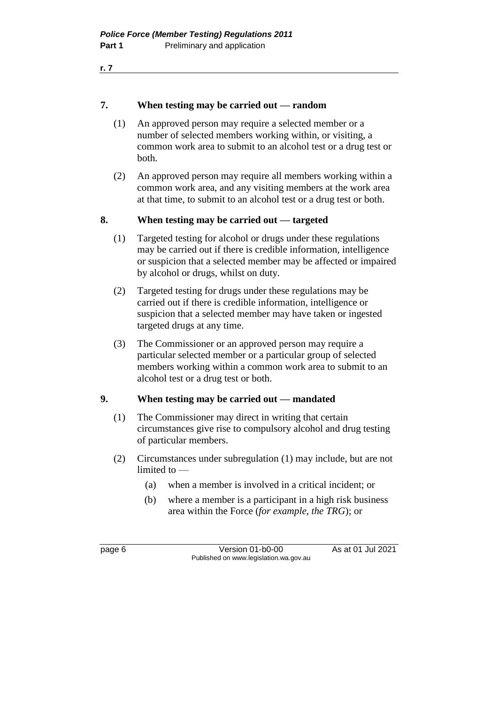#### **7. When testing may be carried out — random**

- (1) An approved person may require a selected member or a number of selected members working within, or visiting, a common work area to submit to an alcohol test or a drug test or both.
- (2) An approved person may require all members working within a common work area, and any visiting members at the work area at that time, to submit to an alcohol test or a drug test or both.

#### **8. When testing may be carried out — targeted**

- (1) Targeted testing for alcohol or drugs under these regulations may be carried out if there is credible information, intelligence or suspicion that a selected member may be affected or impaired by alcohol or drugs, whilst on duty.
- (2) Targeted testing for drugs under these regulations may be carried out if there is credible information, intelligence or suspicion that a selected member may have taken or ingested targeted drugs at any time.
- (3) The Commissioner or an approved person may require a particular selected member or a particular group of selected members working within a common work area to submit to an alcohol test or a drug test or both.

#### **9. When testing may be carried out — mandated**

- (1) The Commissioner may direct in writing that certain circumstances give rise to compulsory alcohol and drug testing of particular members.
- (2) Circumstances under subregulation (1) may include, but are not limited to —
	- (a) when a member is involved in a critical incident; or
	- (b) where a member is a participant in a high risk business area within the Force (*for example, the TRG*); or

page 6 **Version 01-b0-00** As at 01 Jul 2021 Published on www.legislation.wa.gov.au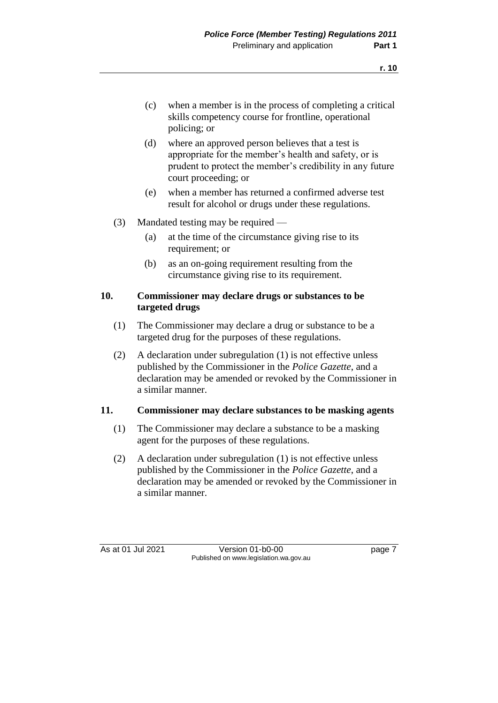- (d) where an approved person believes that a test is appropriate for the member's health and safety, or is prudent to protect the member's credibility in any future court proceeding; or
- (e) when a member has returned a confirmed adverse test result for alcohol or drugs under these regulations.
- (3) Mandated testing may be required
	- (a) at the time of the circumstance giving rise to its requirement; or
	- (b) as an on-going requirement resulting from the circumstance giving rise to its requirement.

#### **10. Commissioner may declare drugs or substances to be targeted drugs**

- (1) The Commissioner may declare a drug or substance to be a targeted drug for the purposes of these regulations.
- (2) A declaration under subregulation (1) is not effective unless published by the Commissioner in the *Police Gazette*, and a declaration may be amended or revoked by the Commissioner in a similar manner.

### **11. Commissioner may declare substances to be masking agents**

- (1) The Commissioner may declare a substance to be a masking agent for the purposes of these regulations.
- (2) A declaration under subregulation (1) is not effective unless published by the Commissioner in the *Police Gazette*, and a declaration may be amended or revoked by the Commissioner in a similar manner.

As at 01 Jul 2021 Version 01-b0-00 Page 7 Published on www.legislation.wa.gov.au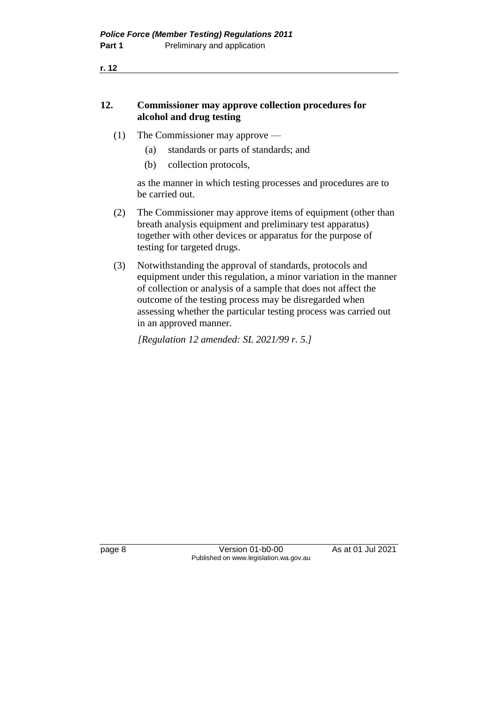## **12. Commissioner may approve collection procedures for alcohol and drug testing**

- (1) The Commissioner may approve
	- (a) standards or parts of standards; and
	- (b) collection protocols,

as the manner in which testing processes and procedures are to be carried out.

- (2) The Commissioner may approve items of equipment (other than breath analysis equipment and preliminary test apparatus) together with other devices or apparatus for the purpose of testing for targeted drugs.
- (3) Notwithstanding the approval of standards, protocols and equipment under this regulation, a minor variation in the manner of collection or analysis of a sample that does not affect the outcome of the testing process may be disregarded when assessing whether the particular testing process was carried out in an approved manner.

*[Regulation 12 amended: SL 2021/99 r. 5.]*

page 8 Version 01-b0-00 As at 01 Jul 2021 Published on www.legislation.wa.gov.au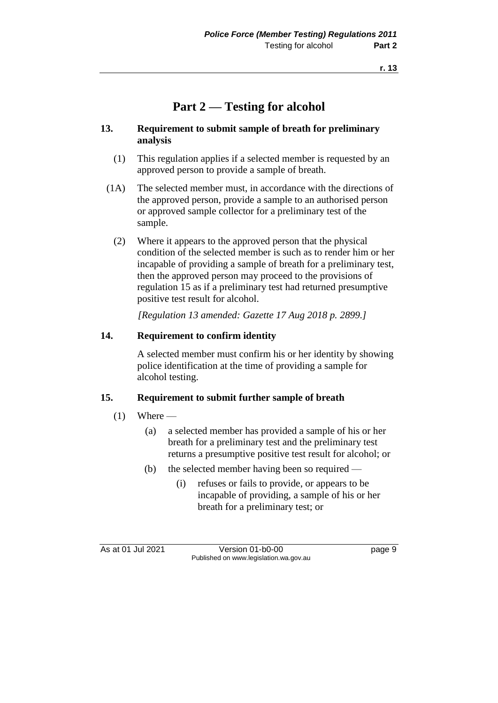## **Part 2 — Testing for alcohol**

#### **13. Requirement to submit sample of breath for preliminary analysis**

- (1) This regulation applies if a selected member is requested by an approved person to provide a sample of breath.
- (1A) The selected member must, in accordance with the directions of the approved person, provide a sample to an authorised person or approved sample collector for a preliminary test of the sample.
	- (2) Where it appears to the approved person that the physical condition of the selected member is such as to render him or her incapable of providing a sample of breath for a preliminary test, then the approved person may proceed to the provisions of regulation 15 as if a preliminary test had returned presumptive positive test result for alcohol.

*[Regulation 13 amended: Gazette 17 Aug 2018 p. 2899.]*

### **14. Requirement to confirm identity**

A selected member must confirm his or her identity by showing police identification at the time of providing a sample for alcohol testing.

#### **15. Requirement to submit further sample of breath**

- $(1)$  Where
	- (a) a selected member has provided a sample of his or her breath for a preliminary test and the preliminary test returns a presumptive positive test result for alcohol; or
	- (b) the selected member having been so required
		- (i) refuses or fails to provide, or appears to be incapable of providing, a sample of his or her breath for a preliminary test; or

As at 01 Jul 2021 Version 01-b0-00 Page 9 Published on www.legislation.wa.gov.au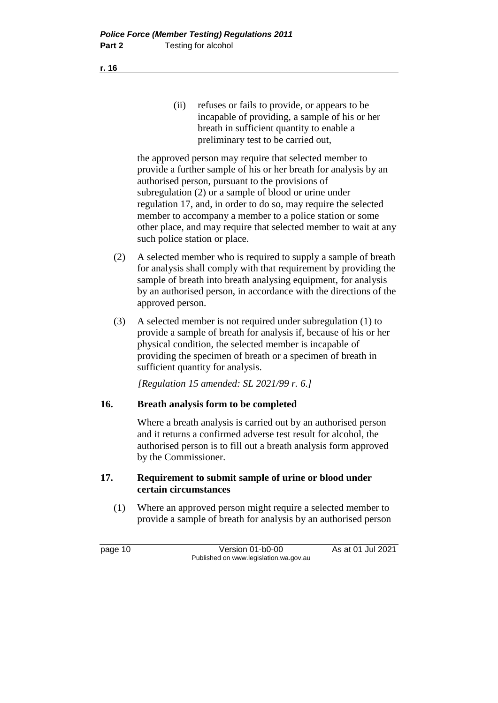(ii) refuses or fails to provide, or appears to be incapable of providing, a sample of his or her breath in sufficient quantity to enable a preliminary test to be carried out,

the approved person may require that selected member to provide a further sample of his or her breath for analysis by an authorised person, pursuant to the provisions of subregulation (2) or a sample of blood or urine under regulation 17, and, in order to do so, may require the selected member to accompany a member to a police station or some other place, and may require that selected member to wait at any such police station or place.

- (2) A selected member who is required to supply a sample of breath for analysis shall comply with that requirement by providing the sample of breath into breath analysing equipment, for analysis by an authorised person, in accordance with the directions of the approved person.
- (3) A selected member is not required under subregulation (1) to provide a sample of breath for analysis if, because of his or her physical condition, the selected member is incapable of providing the specimen of breath or a specimen of breath in sufficient quantity for analysis.

*[Regulation 15 amended: SL 2021/99 r. 6.]*

### **16. Breath analysis form to be completed**

Where a breath analysis is carried out by an authorised person and it returns a confirmed adverse test result for alcohol, the authorised person is to fill out a breath analysis form approved by the Commissioner.

#### **17. Requirement to submit sample of urine or blood under certain circumstances**

(1) Where an approved person might require a selected member to provide a sample of breath for analysis by an authorised person

page 10 Version 01-b0-00 As at 01 Jul 2021 Published on www.legislation.wa.gov.au

**r. 16**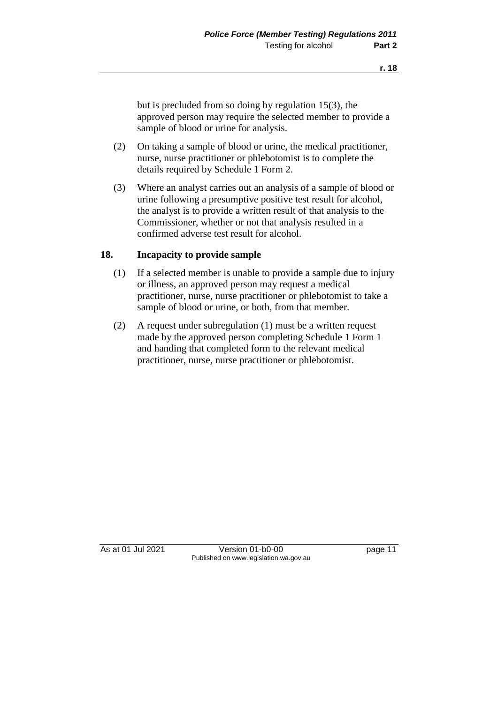but is precluded from so doing by regulation 15(3), the approved person may require the selected member to provide a sample of blood or urine for analysis.

- (2) On taking a sample of blood or urine, the medical practitioner, nurse, nurse practitioner or phlebotomist is to complete the details required by Schedule 1 Form 2.
- (3) Where an analyst carries out an analysis of a sample of blood or urine following a presumptive positive test result for alcohol, the analyst is to provide a written result of that analysis to the Commissioner, whether or not that analysis resulted in a confirmed adverse test result for alcohol.

#### **18. Incapacity to provide sample**

- (1) If a selected member is unable to provide a sample due to injury or illness, an approved person may request a medical practitioner, nurse, nurse practitioner or phlebotomist to take a sample of blood or urine, or both, from that member.
- (2) A request under subregulation (1) must be a written request made by the approved person completing Schedule 1 Form 1 and handing that completed form to the relevant medical practitioner, nurse, nurse practitioner or phlebotomist.

As at 01 Jul 2021 Version 01-b0-00 page 11 Published on www.legislation.wa.gov.au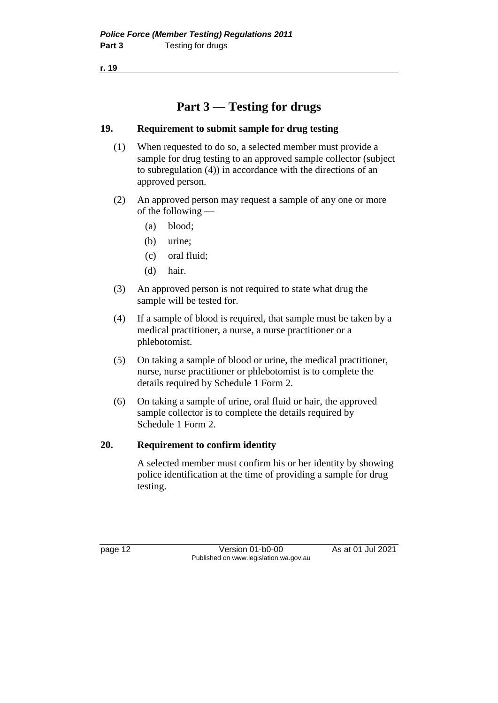## **Part 3 — Testing for drugs**

## **19. Requirement to submit sample for drug testing**

- (1) When requested to do so, a selected member must provide a sample for drug testing to an approved sample collector (subject to subregulation (4)) in accordance with the directions of an approved person.
- (2) An approved person may request a sample of any one or more of the following —
	- (a) blood;
	- (b) urine;
	- (c) oral fluid;
	- (d) hair.
- (3) An approved person is not required to state what drug the sample will be tested for.
- (4) If a sample of blood is required, that sample must be taken by a medical practitioner, a nurse, a nurse practitioner or a phlebotomist.
- (5) On taking a sample of blood or urine, the medical practitioner, nurse, nurse practitioner or phlebotomist is to complete the details required by Schedule 1 Form 2.
- (6) On taking a sample of urine, oral fluid or hair, the approved sample collector is to complete the details required by Schedule 1 Form 2.

### **20. Requirement to confirm identity**

A selected member must confirm his or her identity by showing police identification at the time of providing a sample for drug testing.

page 12 Version 01-b0-00 As at 01 Jul 2021 Published on www.legislation.wa.gov.au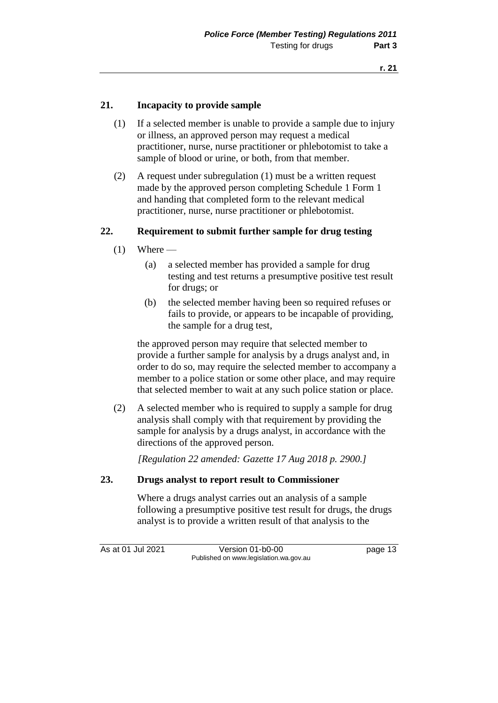#### **21. Incapacity to provide sample**

- (1) If a selected member is unable to provide a sample due to injury or illness, an approved person may request a medical practitioner, nurse, nurse practitioner or phlebotomist to take a sample of blood or urine, or both, from that member.
- (2) A request under subregulation (1) must be a written request made by the approved person completing Schedule 1 Form 1 and handing that completed form to the relevant medical practitioner, nurse, nurse practitioner or phlebotomist.

#### **22. Requirement to submit further sample for drug testing**

- $(1)$  Where
	- (a) a selected member has provided a sample for drug testing and test returns a presumptive positive test result for drugs; or
	- (b) the selected member having been so required refuses or fails to provide, or appears to be incapable of providing, the sample for a drug test,

the approved person may require that selected member to provide a further sample for analysis by a drugs analyst and, in order to do so, may require the selected member to accompany a member to a police station or some other place, and may require that selected member to wait at any such police station or place.

(2) A selected member who is required to supply a sample for drug analysis shall comply with that requirement by providing the sample for analysis by a drugs analyst, in accordance with the directions of the approved person.

*[Regulation 22 amended: Gazette 17 Aug 2018 p. 2900.]*

#### **23. Drugs analyst to report result to Commissioner**

Where a drugs analyst carries out an analysis of a sample following a presumptive positive test result for drugs, the drugs analyst is to provide a written result of that analysis to the

As at 01 Jul 2021 Version 01-b0-00 Page 13 Published on www.legislation.wa.gov.au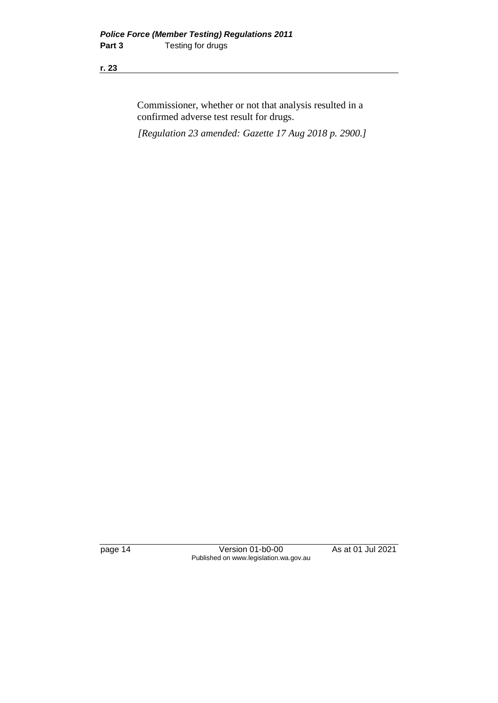Commissioner, whether or not that analysis resulted in a confirmed adverse test result for drugs.

*[Regulation 23 amended: Gazette 17 Aug 2018 p. 2900.]*

page 14 Version 01-b0-00 As at 01 Jul 2021 Published on www.legislation.wa.gov.au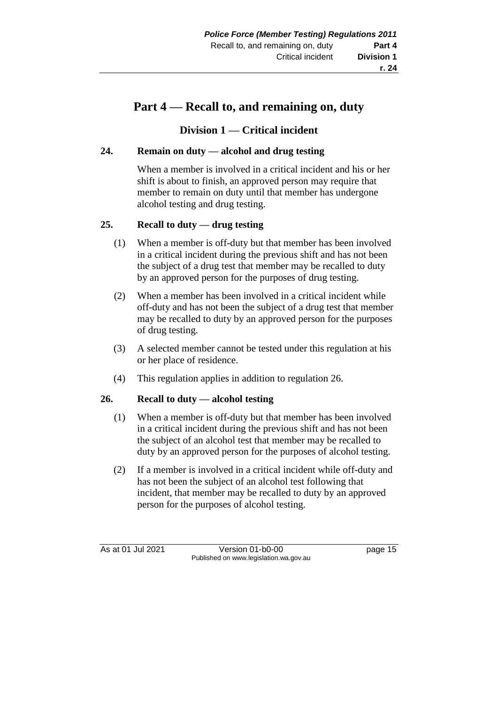## **Part 4 — Recall to, and remaining on, duty**

## **Division 1 — Critical incident**

## **24. Remain on duty — alcohol and drug testing**

When a member is involved in a critical incident and his or her shift is about to finish, an approved person may require that member to remain on duty until that member has undergone alcohol testing and drug testing.

## **25. Recall to duty — drug testing**

- (1) When a member is off-duty but that member has been involved in a critical incident during the previous shift and has not been the subject of a drug test that member may be recalled to duty by an approved person for the purposes of drug testing.
- (2) When a member has been involved in a critical incident while off-duty and has not been the subject of a drug test that member may be recalled to duty by an approved person for the purposes of drug testing.
- (3) A selected member cannot be tested under this regulation at his or her place of residence.
- (4) This regulation applies in addition to regulation 26.

### **26. Recall to duty — alcohol testing**

- (1) When a member is off-duty but that member has been involved in a critical incident during the previous shift and has not been the subject of an alcohol test that member may be recalled to duty by an approved person for the purposes of alcohol testing.
- (2) If a member is involved in a critical incident while off-duty and has not been the subject of an alcohol test following that incident, that member may be recalled to duty by an approved person for the purposes of alcohol testing.

As at 01 Jul 2021 Version 01-b0-00 page 15 Published on www.legislation.wa.gov.au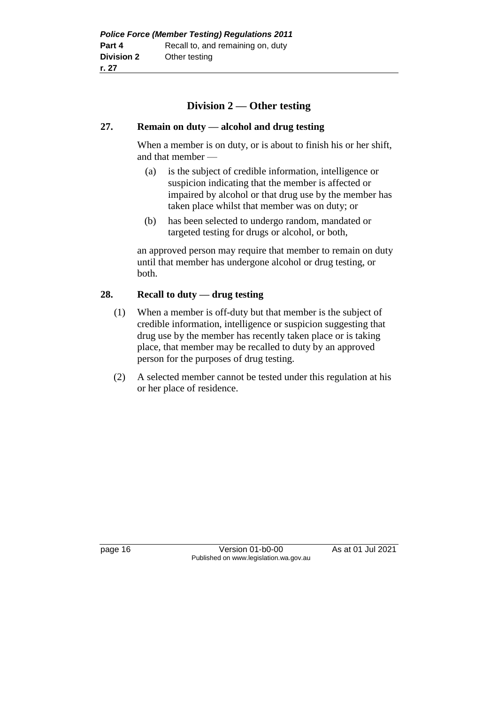## **Division 2 — Other testing**

#### **27. Remain on duty — alcohol and drug testing**

When a member is on duty, or is about to finish his or her shift, and that member —

- (a) is the subject of credible information, intelligence or suspicion indicating that the member is affected or impaired by alcohol or that drug use by the member has taken place whilst that member was on duty; or
- (b) has been selected to undergo random, mandated or targeted testing for drugs or alcohol, or both,

an approved person may require that member to remain on duty until that member has undergone alcohol or drug testing, or both.

#### **28. Recall to duty — drug testing**

- (1) When a member is off-duty but that member is the subject of credible information, intelligence or suspicion suggesting that drug use by the member has recently taken place or is taking place, that member may be recalled to duty by an approved person for the purposes of drug testing.
- (2) A selected member cannot be tested under this regulation at his or her place of residence.

page 16 Version 01-b0-00 As at 01 Jul 2021 Published on www.legislation.wa.gov.au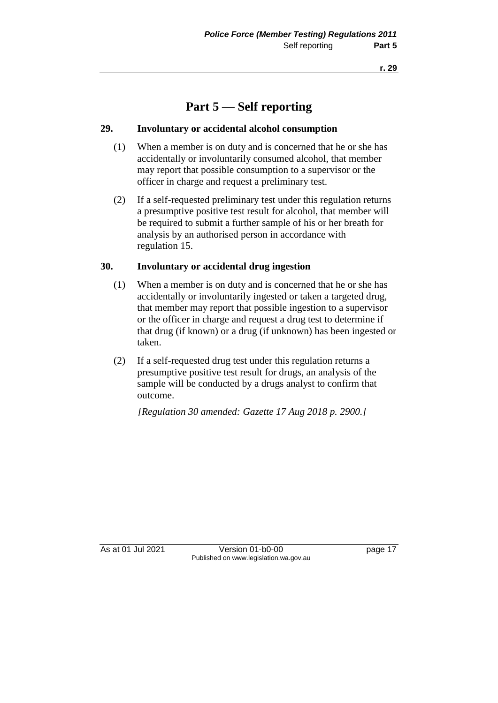## **Part 5 — Self reporting**

#### **29. Involuntary or accidental alcohol consumption**

- (1) When a member is on duty and is concerned that he or she has accidentally or involuntarily consumed alcohol, that member may report that possible consumption to a supervisor or the officer in charge and request a preliminary test.
- (2) If a self-requested preliminary test under this regulation returns a presumptive positive test result for alcohol, that member will be required to submit a further sample of his or her breath for analysis by an authorised person in accordance with regulation 15.

#### **30. Involuntary or accidental drug ingestion**

- (1) When a member is on duty and is concerned that he or she has accidentally or involuntarily ingested or taken a targeted drug, that member may report that possible ingestion to a supervisor or the officer in charge and request a drug test to determine if that drug (if known) or a drug (if unknown) has been ingested or taken.
- (2) If a self-requested drug test under this regulation returns a presumptive positive test result for drugs, an analysis of the sample will be conducted by a drugs analyst to confirm that outcome.

*[Regulation 30 amended: Gazette 17 Aug 2018 p. 2900.]*

As at 01 Jul 2021 Version 01-b0-00 page 17 Published on www.legislation.wa.gov.au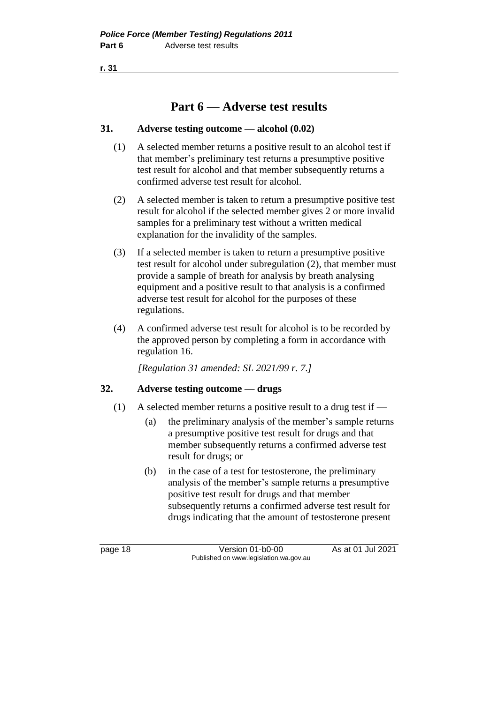## **Part 6 — Adverse test results**

#### **31. Adverse testing outcome — alcohol (0.02)**

- (1) A selected member returns a positive result to an alcohol test if that member's preliminary test returns a presumptive positive test result for alcohol and that member subsequently returns a confirmed adverse test result for alcohol.
- (2) A selected member is taken to return a presumptive positive test result for alcohol if the selected member gives 2 or more invalid samples for a preliminary test without a written medical explanation for the invalidity of the samples.
- (3) If a selected member is taken to return a presumptive positive test result for alcohol under subregulation (2), that member must provide a sample of breath for analysis by breath analysing equipment and a positive result to that analysis is a confirmed adverse test result for alcohol for the purposes of these regulations.
- (4) A confirmed adverse test result for alcohol is to be recorded by the approved person by completing a form in accordance with regulation 16.

*[Regulation 31 amended: SL 2021/99 r. 7.]*

### **32. Adverse testing outcome — drugs**

- (1) A selected member returns a positive result to a drug test if
	- (a) the preliminary analysis of the member's sample returns a presumptive positive test result for drugs and that member subsequently returns a confirmed adverse test result for drugs; or
	- (b) in the case of a test for testosterone, the preliminary analysis of the member's sample returns a presumptive positive test result for drugs and that member subsequently returns a confirmed adverse test result for drugs indicating that the amount of testosterone present

page 18 Version 01-b0-00 As at 01 Jul 2021 Published on www.legislation.wa.gov.au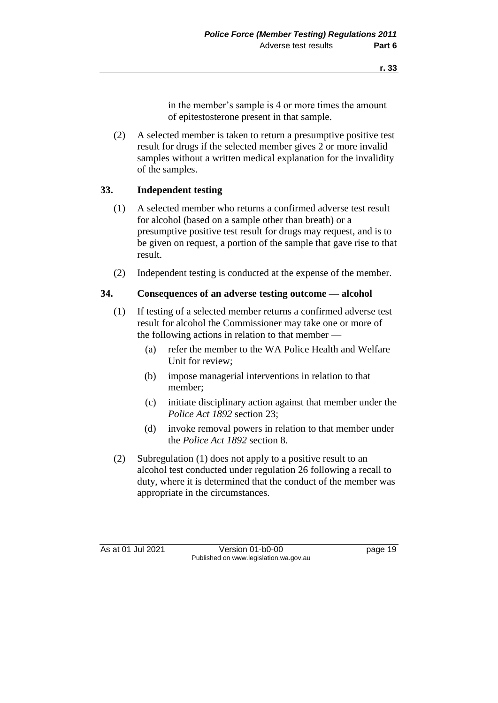in the member's sample is 4 or more times the amount of epitestosterone present in that sample.

(2) A selected member is taken to return a presumptive positive test result for drugs if the selected member gives 2 or more invalid samples without a written medical explanation for the invalidity of the samples.

### **33. Independent testing**

- (1) A selected member who returns a confirmed adverse test result for alcohol (based on a sample other than breath) or a presumptive positive test result for drugs may request, and is to be given on request, a portion of the sample that gave rise to that result.
- (2) Independent testing is conducted at the expense of the member.

#### **34. Consequences of an adverse testing outcome — alcohol**

- (1) If testing of a selected member returns a confirmed adverse test result for alcohol the Commissioner may take one or more of the following actions in relation to that member —
	- (a) refer the member to the WA Police Health and Welfare Unit for review;
	- (b) impose managerial interventions in relation to that member;
	- (c) initiate disciplinary action against that member under the *Police Act 1892* section 23;
	- (d) invoke removal powers in relation to that member under the *Police Act 1892* section 8.
- (2) Subregulation (1) does not apply to a positive result to an alcohol test conducted under regulation 26 following a recall to duty, where it is determined that the conduct of the member was appropriate in the circumstances.

As at 01 Jul 2021 Version 01-b0-00 page 19 Published on www.legislation.wa.gov.au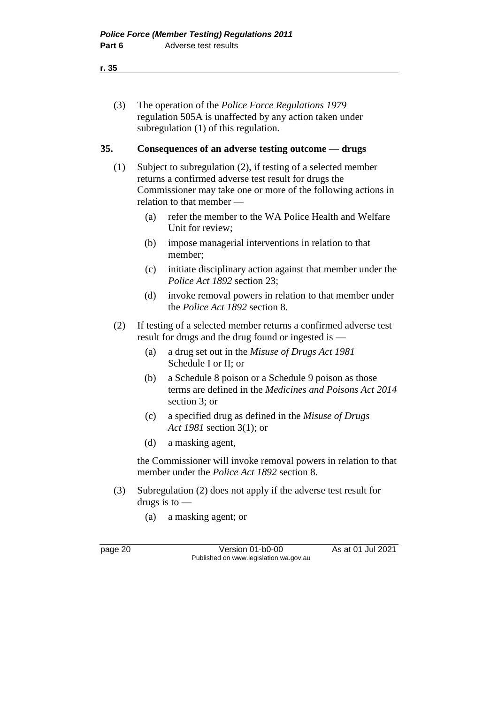(3) The operation of the *Police Force Regulations 1979* regulation 505A is unaffected by any action taken under subregulation (1) of this regulation.

#### **35. Consequences of an adverse testing outcome — drugs**

- (1) Subject to subregulation (2), if testing of a selected member returns a confirmed adverse test result for drugs the Commissioner may take one or more of the following actions in relation to that member —
	- (a) refer the member to the WA Police Health and Welfare Unit for review;
	- (b) impose managerial interventions in relation to that member;
	- (c) initiate disciplinary action against that member under the *Police Act 1892* section 23;
	- (d) invoke removal powers in relation to that member under the *Police Act 1892* section 8.
- (2) If testing of a selected member returns a confirmed adverse test result for drugs and the drug found or ingested is —
	- (a) a drug set out in the *Misuse of Drugs Act 1981* Schedule I or II; or
	- (b) a Schedule 8 poison or a Schedule 9 poison as those terms are defined in the *Medicines and Poisons Act 2014* section 3; or
	- (c) a specified drug as defined in the *Misuse of Drugs Act 1981* section 3(1); or
	- (d) a masking agent,

the Commissioner will invoke removal powers in relation to that member under the *Police Act 1892* section 8.

- (3) Subregulation (2) does not apply if the adverse test result for drugs is to  $-$ 
	- (a) a masking agent; or

page 20 Version 01-b0-00 As at 01 Jul 2021 Published on www.legislation.wa.gov.au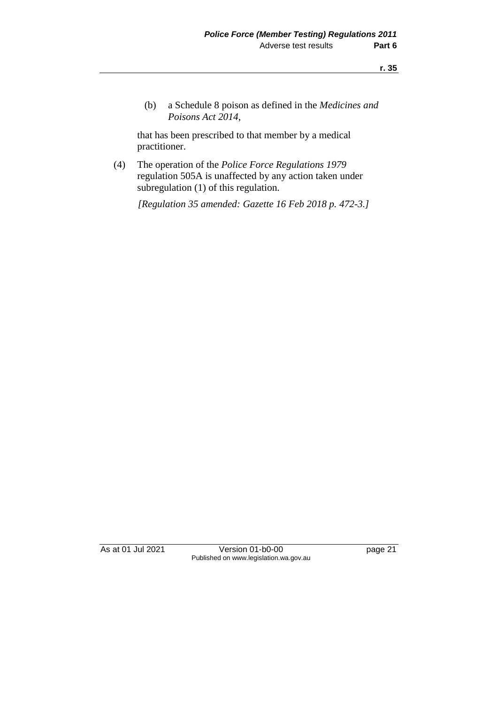(b) a Schedule 8 poison as defined in the *Medicines and Poisons Act 2014*,

that has been prescribed to that member by a medical practitioner.

(4) The operation of the *Police Force Regulations 1979* regulation 505A is unaffected by any action taken under subregulation (1) of this regulation.

*[Regulation 35 amended: Gazette 16 Feb 2018 p. 472-3.]*

As at 01 Jul 2021 Version 01-b0-00 page 21 Published on www.legislation.wa.gov.au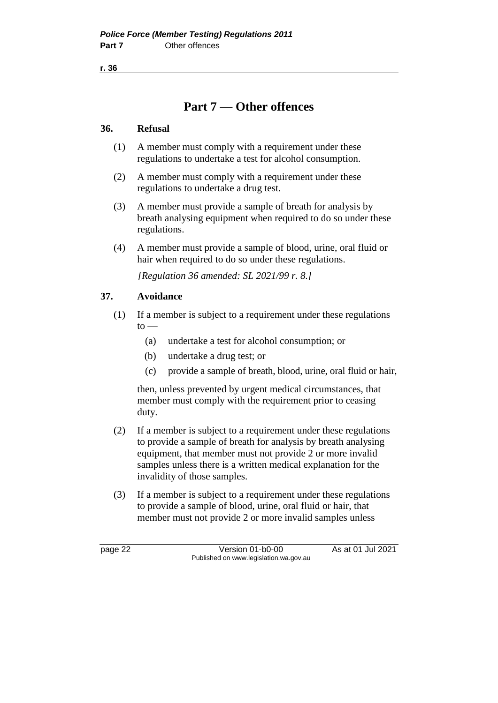## **Part 7 — Other offences**

#### **36. Refusal**

- (1) A member must comply with a requirement under these regulations to undertake a test for alcohol consumption.
- (2) A member must comply with a requirement under these regulations to undertake a drug test.
- (3) A member must provide a sample of breath for analysis by breath analysing equipment when required to do so under these regulations.
- (4) A member must provide a sample of blood, urine, oral fluid or hair when required to do so under these regulations.

*[Regulation 36 amended: SL 2021/99 r. 8.]*

### **37. Avoidance**

- (1) If a member is subject to a requirement under these regulations  $to -$ 
	- (a) undertake a test for alcohol consumption; or
	- (b) undertake a drug test; or
	- (c) provide a sample of breath, blood, urine, oral fluid or hair,

then, unless prevented by urgent medical circumstances, that member must comply with the requirement prior to ceasing duty.

- (2) If a member is subject to a requirement under these regulations to provide a sample of breath for analysis by breath analysing equipment, that member must not provide 2 or more invalid samples unless there is a written medical explanation for the invalidity of those samples.
- (3) If a member is subject to a requirement under these regulations to provide a sample of blood, urine, oral fluid or hair, that member must not provide 2 or more invalid samples unless

page 22 Version 01-b0-00 As at 01 Jul 2021 Published on www.legislation.wa.gov.au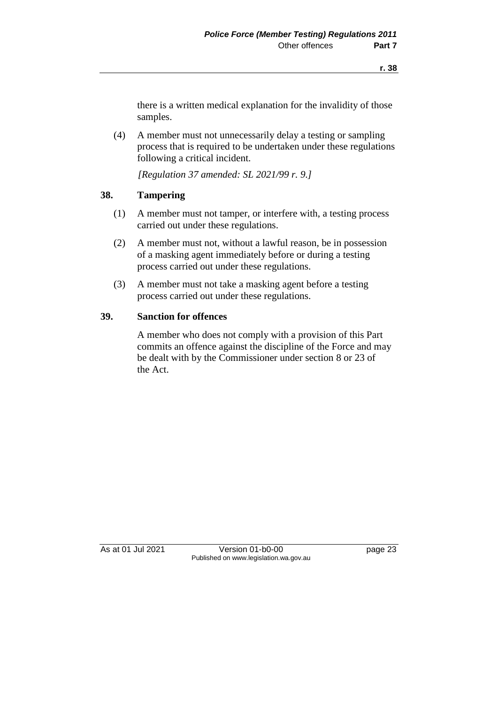there is a written medical explanation for the invalidity of those samples.

(4) A member must not unnecessarily delay a testing or sampling process that is required to be undertaken under these regulations following a critical incident.

*[Regulation 37 amended: SL 2021/99 r. 9.]*

#### **38. Tampering**

- (1) A member must not tamper, or interfere with, a testing process carried out under these regulations.
- (2) A member must not, without a lawful reason, be in possession of a masking agent immediately before or during a testing process carried out under these regulations.
- (3) A member must not take a masking agent before a testing process carried out under these regulations.

#### **39. Sanction for offences**

A member who does not comply with a provision of this Part commits an offence against the discipline of the Force and may be dealt with by the Commissioner under section 8 or 23 of the Act.

As at 01 Jul 2021 Version 01-b0-00 page 23 Published on www.legislation.wa.gov.au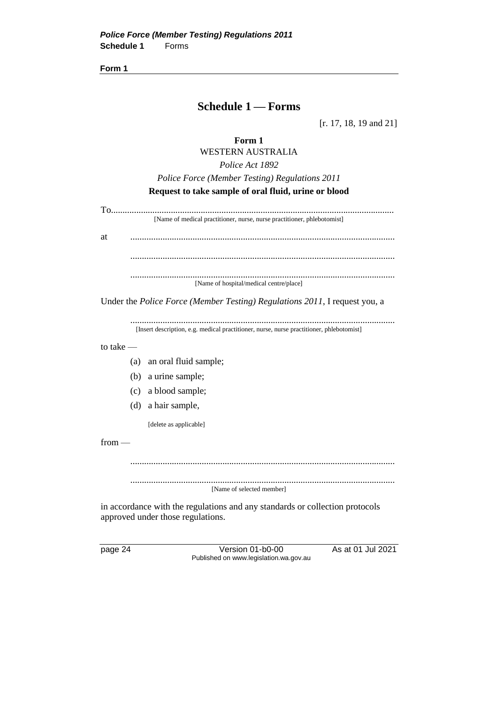**Form 1**

## **Schedule 1 — Forms**

[r. 17, 18, 19 and 21]

**Form 1**

WESTERN AUSTRALIA *Police Act 1892 Police Force (Member Testing) Regulations 2011* **Request to take sample of oral fluid, urine or blood**

To........................................................................................................................... [Name of medical practitioner, nurse, nurse practitioner, phlebotomist] at ................................................................................................................... ................................................................................................................... ................................................................................................................... [Name of hospital/medical centre/place]

Under the *Police Force (Member Testing) Regulations 2011*, I request you, a

................................................................................................................... [Insert description, e.g. medical practitioner, nurse, nurse practitioner, phlebotomist]

to take —

- (a) an oral fluid sample;
- (b) a urine sample;
- (c) a blood sample;
- (d) a hair sample,

[delete as applicable]

from —

...................................................................................................................

...................................................................................................................

[Name of selected member]

in accordance with the regulations and any standards or collection protocols approved under those regulations.

page 24 Version 01-b0-00 As at 01 Jul 2021 Published on www.legislation.wa.gov.au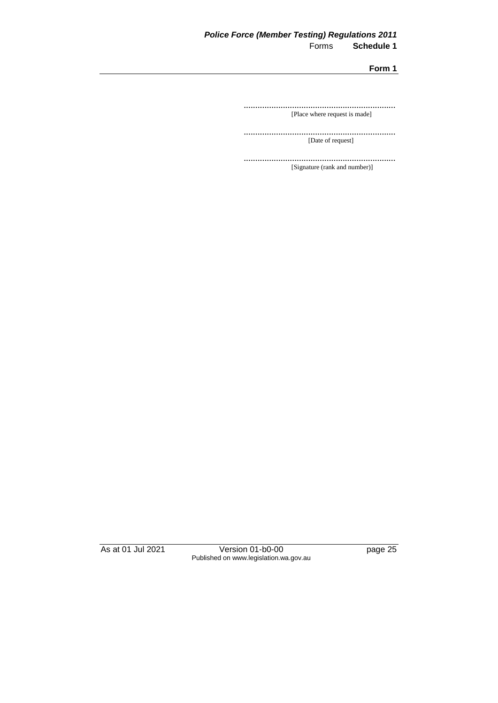### *Police Force (Member Testing) Regulations 2011* **Schedule 1**

**Form 1**

.................................................................. [Place where request is made]

.................................................................. [Date of request]

.................................................................. [Signature (rank and number)]

As at 01 Jul 2021 Version 01-b0-00 page 25 Published on www.legislation.wa.gov.au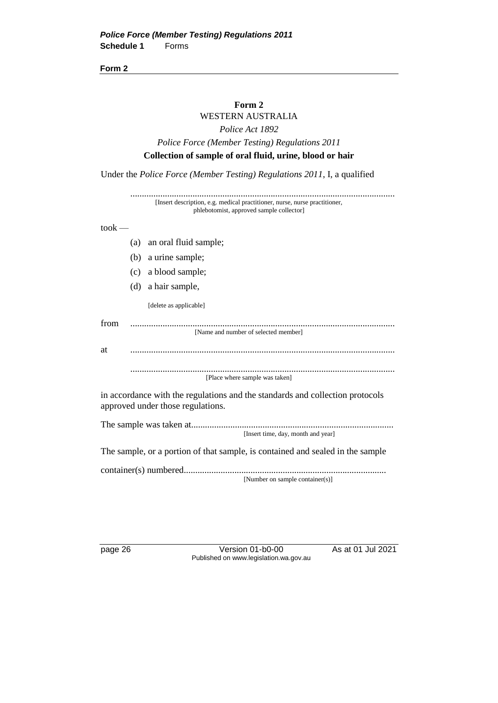**Form 2**

#### **Form 2**

## WESTERN AUSTRALIA *Police Act 1892 Police Force (Member Testing) Regulations 2011*

#### **Collection of sample of oral fluid, urine, blood or hair**

Under the *Police Force (Member Testing) Regulations 2011*, I, a qualified

................................................................................................................... [Insert description, e.g. medical practitioner, nurse, nurse practitioner, phlebotomist, approved sample collector]

#### $to$ o $k$  —

- (a) an oral fluid sample;
- (b) a urine sample;
- (c) a blood sample;
- (d) a hair sample,

[delete as applicable]

| from |                                      |
|------|--------------------------------------|
|      | [Name and number of selected member] |
| -at  |                                      |
|      |                                      |
|      |                                      |

[Place where sample was taken]

in accordance with the regulations and the standards and collection protocols approved under those regulations.

The sample was taken at........................................................................................ [Insert time, day, month and year]

The sample, or a portion of that sample, is contained and sealed in the sample

container(s) numbered........................................................................................ [Number on sample container(s)]

page 26 Version 01-b0-00 As at 01 Jul 2021 Published on www.legislation.wa.gov.au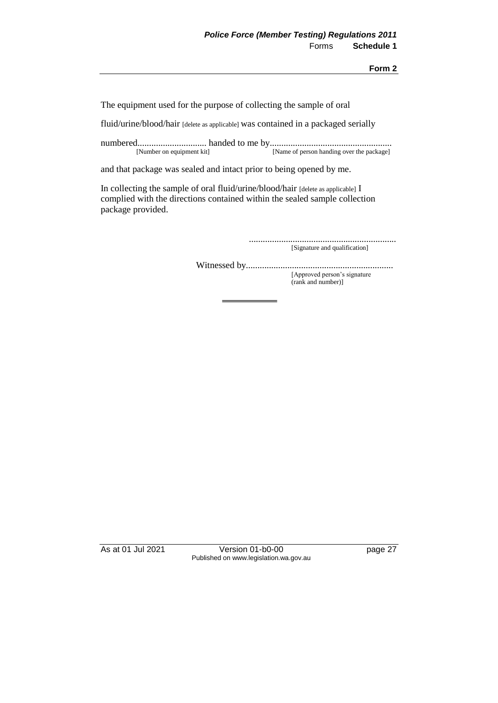The equipment used for the purpose of collecting the sample of oral

fluid/urine/blood/hair [delete as applicable] was contained in a packaged serially

numbered.............................. handed to me by..................................................... [Name of person handing over the package]

and that package was sealed and intact prior to being opened by me.

In collecting the sample of oral fluid/urine/blood/hair [delete as applicable] I complied with the directions contained within the sealed sample collection package provided.

> ................................................................ [Signature and qualification]

Witnessed by................................................................ [Approved person's signature

(rank and number)]

As at 01 Jul 2021 Version 01-b0-00 page 27 Published on www.legislation.wa.gov.au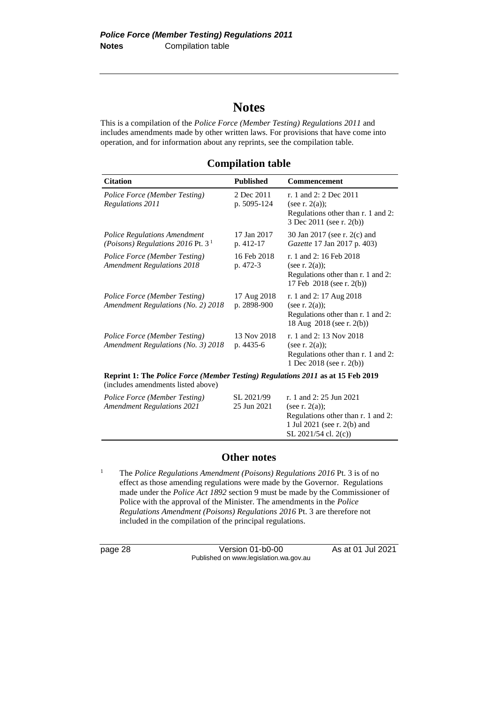## **Notes**

This is a compilation of the *Police Force (Member Testing) Regulations 2011* and includes amendments made by other written laws. For provisions that have come into operation, and for information about any reprints, see the compilation table.

| <b>Citation</b>                                                                                                       | <b>Published</b>           | Commencement                                                                                                    |  |  |  |
|-----------------------------------------------------------------------------------------------------------------------|----------------------------|-----------------------------------------------------------------------------------------------------------------|--|--|--|
| Police Force (Member Testing)<br>Regulations 2011                                                                     | 2 Dec 2011<br>p. 5095-124  | r. 1 and 2: 2 Dec 2011<br>(see r. $2(a)$ );<br>Regulations other than r. 1 and 2:<br>3 Dec 2011 (see r. 2(b))   |  |  |  |
| <b>Police Regulations Amendment</b><br>(Poisons) Regulations 2016 Pt. $31$                                            | 17 Jan 2017<br>p. 412-17   | 30 Jan 2017 (see r. 2(c) and<br>Gazette 17 Jan 2017 p. 403)                                                     |  |  |  |
| Police Force (Member Testing)<br><b>Amendment Regulations 2018</b>                                                    | 16 Feb 2018<br>p. 472-3    | r. 1 and 2: 16 Feb 2018<br>(see r. $2(a)$ );<br>Regulations other than r. 1 and 2:<br>17 Feb 2018 (see r. 2(b)) |  |  |  |
| Police Force (Member Testing)<br><b>Amendment Regulations (No. 2) 2018</b>                                            | 17 Aug 2018<br>p. 2898-900 | r. 1 and 2: 17 Aug 2018<br>(see r. $2(a)$ );<br>Regulations other than r. 1 and 2:<br>18 Aug 2018 (see r. 2(b)) |  |  |  |
| Police Force (Member Testing)<br>Amendment Regulations (No. 3) 2018                                                   | 13 Nov 2018<br>p. 4435-6   | r. 1 and 2: 13 Nov 2018<br>(see r. $2(a)$ );<br>Regulations other than r. 1 and 2:<br>1 Dec 2018 (see r. 2(b))  |  |  |  |
| Reprint 1: The Police Force (Member Testing) Regulations 2011 as at 15 Feb 2019<br>(includes amendments listed above) |                            |                                                                                                                 |  |  |  |
| Police Force (Member Testing)<br><b>Amendment Regulations 2021</b>                                                    | SL 2021/99<br>25 Jun 2021  | r. 1 and 2: 25 Jun 2021<br>(see r. $2(a)$ );<br>Regulations other than r. 1 and 2:                              |  |  |  |

#### **Other notes**

<sup>1</sup> The *Police Regulations Amendment (Poisons) Regulations 2016* Pt. 3 is of no effect as those amending regulations were made by the Governor. Regulations made under the *Police Act 1892* section 9 must be made by the Commissioner of Police with the approval of the Minister. The amendments in the *Police Regulations Amendment (Poisons) Regulations 2016* Pt. 3 are therefore not included in the compilation of the principal regulations.

page 28 Version 01-b0-00 As at 01 Jul 2021 Published on www.legislation.wa.gov.au

1 Jul 2021 (see r. 2(b) and SL 2021/54 cl. 2(c))